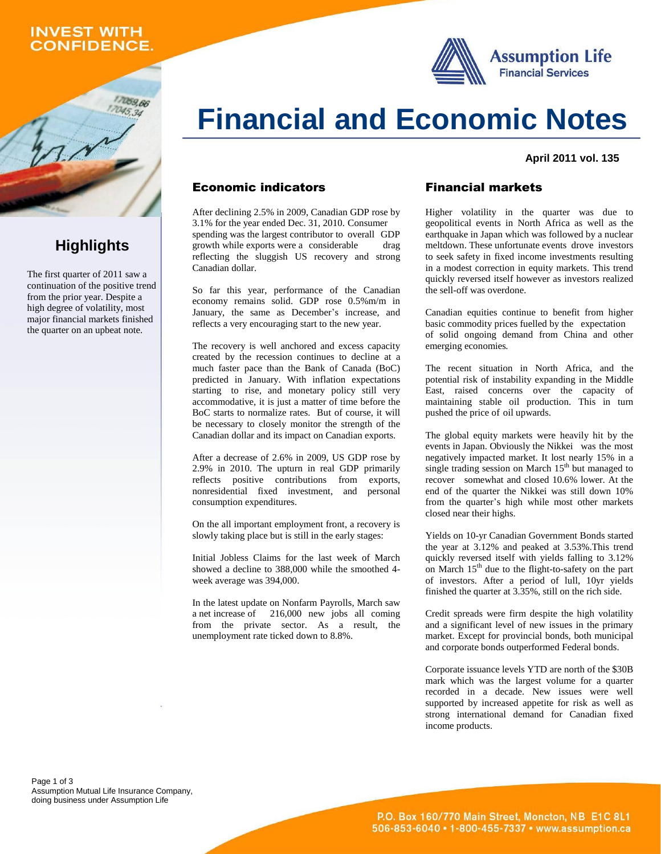## **INVEST WITH CONFIDENCE.**

1059,66

**Highlights**

The first quarter of 2011 saw a continuation of the positive trend from the prior year. Despite a high degree of volatility, most major financial markets finished the quarter on an upbeat note.





#### **April 2011 vol.135**

#### **Economic indicators**

After declining 2.5% in 2009, Canadian GDP rose by 3.1% for theyear ended Dec. 31, 2010. Consumer spending was the largest contributor to overall GDP growth while exports were a considerable drag reflecting the sluggish US recovery and strong Canadian dollar.

So far this year, performance of the Canadian economy remains solid. GDP rose 0.5%m/m in January, the same as December's increase, and reflects a very encouraging start to the new year.

The recovery is well anchored and excess capacity created by the recession continues to decline at a much faster pace than the Bank of Canada (BoC) predicted in January. With inflation expectations starting to rise, and monetary policy still very accommodative, it is just a matter of time before the BoC starts to normalize rates. But of course, it will be necessary to closely monitor the strength of the Canadian dollar and its impact on Canadian exports.

After a decrease of 2.6% in 2009, US GDP rose by 2.9% in 2010. The upturn in real GDP primarily reflects positive contributions from exports, nonresidential fixed investment, and personal consumption expenditures.

On the all important employment front, a recovery is slowly taking place but is still in the early stages:

Initial Jobless Claims for the last week of March showed <sup>a</sup> decline to 388,000 while the smoothed 4-week average was 394,000.

In the latest update on Nonfarm Payrolls, March saw a net increase of 216,000 new jobs all coming from the private sector. As a result, the unemployment rate ticked down to 8.8%.

### **Financial markets**

Higher volatility in the quarter was due to geopolitical events in North Africa as well as the earthquake in Japan which was followed by a nuclear meltdown. These unfortunate events drove investors to seek safety in fixed income investments resulting in a modest correction in equity markets. This trend quickly reversed itself however as investors realized the sell-off was overdone.

Canadian equities continue to benefit from higher basic commodity prices fuelled by the expectation of solid ongoing demand from China and other emerging economies*.*

The recent situation in North Africa, and the potential risk of instability expanding in the Middle East, raised concerns over the capacity of maintaining stable oil production. This in turn pushed the price of oil upwards.

The global equity markets were heavily hit by the events in Japan. Obviously the Nikkei was the most negatively impacted market. It lost nearly 15% in a single trading session on March 15<sup>th</sup> but managed to recover somewhat and closed 10.6% lower. At the end of the quarter the Nikkei was still down 10% from the quarter's high while most other markets closed near their highs.

Yields on 10-yr Canadian Government Bonds started the year at 3.12% and peaked at 3.53%.This trend quickly reversed itself with yields falling to 3.12% on March 15 th due to the flight-to-safety on the part of investors. After a period of lull, 10yr yields finished the quarter at 3.35%, still on the rich side.

Credit spreads were firm despite the high volatility and a significant level of new issues in the primary market. Except for provincial bonds, both municipal and corporate bonds outperformed Federal bonds.

Corporate issuance levels YTD are north of the \$30B mark which was the largest volume for a quarter recorded in a decade. New issues were well supported by increased appetite for risk as well as strong international demand for Canadian fixed income products.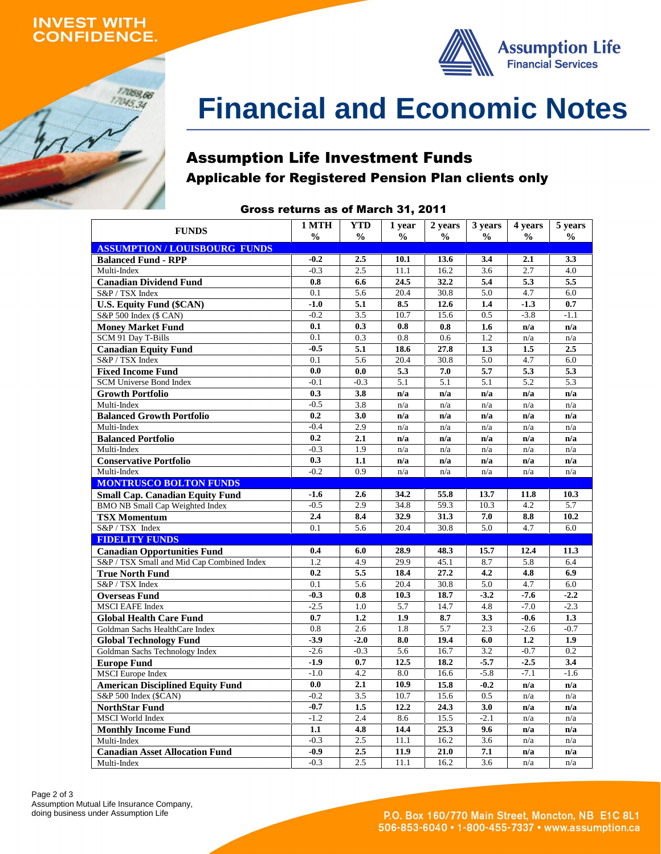## **INVEST WITH** *ONFIDENCE.*

17059,66 17045,34



# **Financial and Economic Notes**

## **Assumption Life Investment Funds Applicable for Registered Pension Plan clients only**

## **Gross returns as of March 31, 2011**

| <b>FUNDS</b>                               | 1 MTH<br>$\frac{0}{0}$ | <b>YTD</b><br>$\frac{0}{0}$ | 1 year<br>$\frac{6}{9}$ | 2 years<br>$\frac{0}{0}$ | 3 years<br>$\frac{0}{0}$ | 4 years<br>$\frac{0}{0}$ | 5 years<br>$\frac{6}{9}$ |
|--------------------------------------------|------------------------|-----------------------------|-------------------------|--------------------------|--------------------------|--------------------------|--------------------------|
| <b>ASSUMPTION / LOUISBOURG FUNDS</b>       |                        |                             |                         |                          |                          |                          |                          |
| <b>Balanced Fund - RPP</b>                 | $-0.2$                 | 2.5                         | 10.1                    | 13.6                     | 3.4                      | 2.1                      | 3.3                      |
| Multi-Index                                | $-0.3$                 | 2.5                         | 11.1                    | 16.2                     | 3.6                      | 2.7                      | 4.0                      |
| <b>Canadian Dividend Fund</b>              | 0.8                    | 6.6                         | 24.5                    | 32.2                     | 5.4                      | 5.3                      | 5.5                      |
| S&P / TSX Index                            | 0.1                    | 5.6                         | 20.4                    | 30.8                     | 5.0                      | 4.7                      | 6.0                      |
| <b>U.S. Equity Fund (\$CAN)</b>            | $-1.0$                 | 5.1                         | 8.5                     | 12.6                     | 1.4                      | $-1.3$                   | 0.7                      |
| S&P 500 Index (\$ CAN)                     | $-0.2$                 | 3.5                         | 10.7                    | 15.6                     | 0.5                      | $-3.8$                   | $-1.1$                   |
| <b>Money Market Fund</b>                   | 0.1                    | 0.3                         | $\mathbf{0.8}$          | 0.8                      | 1.6                      | n/a                      | n/a                      |
| SCM 91 Day T-Bills                         | 0.1                    | 0.3                         | 0.8                     | 0.6                      | 1.2                      | n/a                      | n/a                      |
| <b>Canadian Equity Fund</b>                | $-0.5$                 | 5.1                         | 18.6                    | 27.8                     | 1.3                      | 1.5                      | 2.5                      |
| S&P / TSX Index                            | 0.1                    | 5.6                         | 20.4                    | 30.8                     | 5.0                      | 4.7                      | 6.0                      |
| <b>Fixed Income Fund</b>                   | 0.0                    | 0.0                         | 5.3                     | 7.0                      | 5.7                      | 5.3                      | 5.3                      |
| <b>SCM Universe Bond Index</b>             | $-0.1$                 | $-0.3$                      | 5.1                     | 5.1                      | 5.1                      | 5.2                      | 5.3                      |
| <b>Growth Portfolio</b>                    | 0.3                    | 3.8                         | n/a                     | n/a                      | n/a                      | n/a                      | n/a                      |
| Multi-Index                                | $-0.5$                 | 3.8                         | n/a                     | n/a                      | n/a                      | n/a                      | n/a                      |
| <b>Balanced Growth Portfolio</b>           | 0.2                    | 3.0                         | n/a                     | n/a                      | n/a                      | n/a                      | n/a                      |
| Multi-Index                                | $-0.4$                 | 2.9                         | n/a                     | n/a                      | n/a                      | n/a                      | n/a                      |
| <b>Balanced Portfolio</b>                  | 0.2                    | 2.1                         | n/a                     | n/a                      | n/a                      | n/a                      | n/a                      |
| Multi-Index                                | $-0.3$                 | 1.9                         | n/a                     | n/a                      | n/a                      | n/a                      | n/a                      |
| <b>Conservative Portfolio</b>              | 0.3                    | 1.1                         | n/a                     | n/a                      | n/a                      | n/a                      | n/a                      |
| Multi-Index                                | $-0.2$                 | 0.9                         | n/a                     | n/a                      | n/a                      | n/a                      | n/a                      |
| <b>MONTRUSCO BOLTON FUNDS</b>              |                        |                             |                         |                          |                          |                          |                          |
| <b>Small Cap. Canadian Equity Fund</b>     | $-1.6$                 | 2.6                         | 34.2                    | 55.8                     | 13.7                     | 11.8                     | 10.3                     |
| <b>BMO NB Small Cap Weighted Index</b>     | $-0.5$                 | 2.9                         | 34.8                    | 59.3                     | 10.3                     | 4.2                      | 5.7                      |
| <b>TSX Momentum</b>                        | 2.4                    | 8.4                         | 32.9                    | 31.3                     | 7.0                      | 8.8                      | 10.2                     |
| S&P / TSX Index                            | 0.1                    | 5.6                         | 20.4                    | 30.8                     | 5.0                      | 4.7                      | 6.0                      |
| <b>FIDELITY FUNDS</b>                      |                        |                             |                         |                          |                          |                          |                          |
| <b>Canadian Opportunities Fund</b>         | 0.4                    | 6.0                         | 28.9                    | 48.3                     | 15.7                     | 12.4                     | 11.3                     |
| S&P / TSX Small and Mid Cap Combined Index | 1.2                    | 4.9                         | 29.9                    | 45.1                     | 8.7                      | 5.8                      | 6.4                      |
| <b>True North Fund</b>                     | 0.2                    | 5.5                         | 18.4                    | 27.2                     | 4.2                      | 4.8                      | 6.9                      |
| S&P / TSX Index                            | 0.1                    | 5.6                         | 20.4                    | 30.8                     | 5.0                      | 4.7                      | 6.0                      |
| <b>Overseas Fund</b>                       | $-0.3$                 | 0.8                         | 10.3                    | 18.7                     | $-3.2$                   | $-7.6$                   | $-2.2$                   |
| <b>MSCI EAFE Index</b>                     | $-2.5$                 | 1.0                         | 5.7                     | 14.7                     | 4.8                      | $-7.0$                   | $-2.3$                   |
| <b>Global Health Care Fund</b>             | 0.7                    | 1.2                         | 1.9                     | 8.7                      | 3.3                      | $-0.6$                   | 1.3                      |
| Goldman Sachs HealthCare Index             | 0.8                    | 2.6                         | 1.8                     | 5.7                      | 2.3                      | $-2.6$                   | $-0.7$                   |
| <b>Global Technology Fund</b>              | $-3.9$                 | $-2.0$                      | 8.0                     | 19.4                     | 6.0                      | 1.2                      | 1.9                      |
| Goldman Sachs Technology Index             | $-2.6$                 | $-0.3$                      | 5.6                     | 16.7                     | 3.2                      | $-0.7$                   | 0.2                      |
| <b>Europe Fund</b>                         | $-1.9$                 | 0.7                         | 12.5                    | 18.2                     | $-5.7$                   | $-2.5$                   | 3.4                      |
| <b>MSCI</b> Europe Index                   | $-1.0$                 | 4.2                         | 8.0                     | 16.6                     | $-5.8$                   | $-7.1$                   | $-1.6$                   |
| <b>American Disciplined Equity Fund</b>    | 0.0                    | 2.1                         | 10.9                    | 15.8                     | $-0.2$                   | n/a                      | n/a                      |
| S&P 500 Index (\$CAN)                      | $-0.2$                 | 3.5                         | 10.7                    | 15.6                     | 0.5                      | n/a                      | n/a                      |
| <b>NorthStar Fund</b>                      | $-0.7$                 | 1.5                         | 12.2                    | 24.3                     | 3.0                      | n/a                      | n/a                      |
| <b>MSCI</b> World Index                    | $-1.2$                 | 2.4                         | 8.6                     | 15.5                     | $-2.1$                   | n/a                      | n/a                      |
| <b>Monthly Income Fund</b>                 | 1.1                    | 4.8                         | 14.4                    | 25.3                     | 9.6                      | n/a                      | n/a                      |
| Multi-Index                                | $-0.3$                 | 2.5                         | 11.1                    | 16.2                     | 3.6                      | n/a                      | n/a                      |
| <b>Canadian Asset Allocation Fund</b>      | $-0.9$                 | 2.5                         | 11.9                    | 21.0                     | 7.1                      | n/a                      | n/a                      |
| Multi-Index                                | $-0.3$                 | 2.5                         | 11.1                    | 16.2                     | 3.6                      | n/a                      | n/a                      |
|                                            |                        |                             |                         |                          |                          |                          |                          |